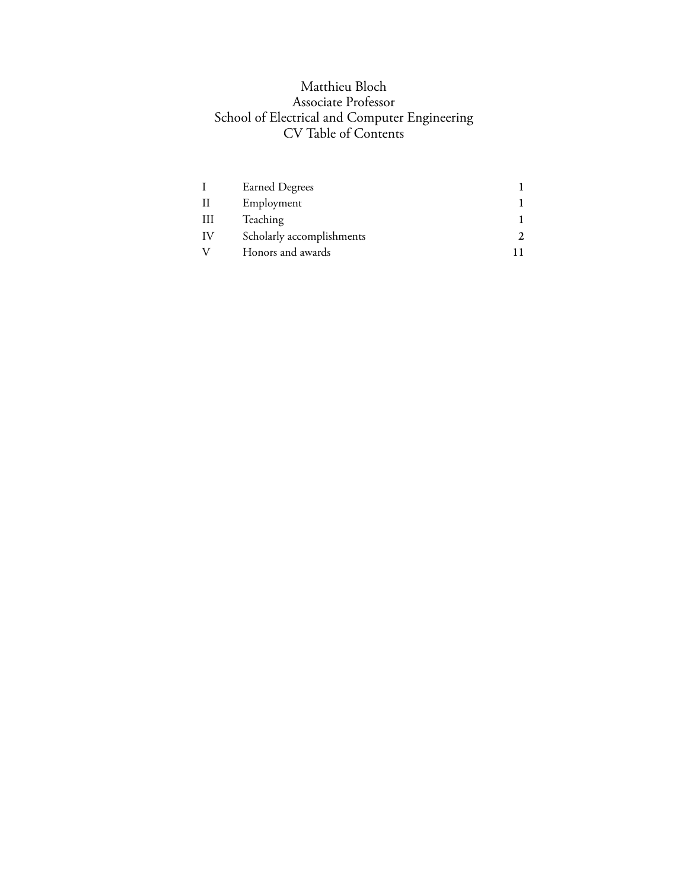# Matthieu Bloch Associate Professor School of Electrical and Computer Engineering CV Table of Contents

|    | <b>Earned Degrees</b>     |  |
|----|---------------------------|--|
|    | Employment                |  |
| Ш  | Teaching                  |  |
| IV | Scholarly accomplishments |  |
|    | Honors and awards         |  |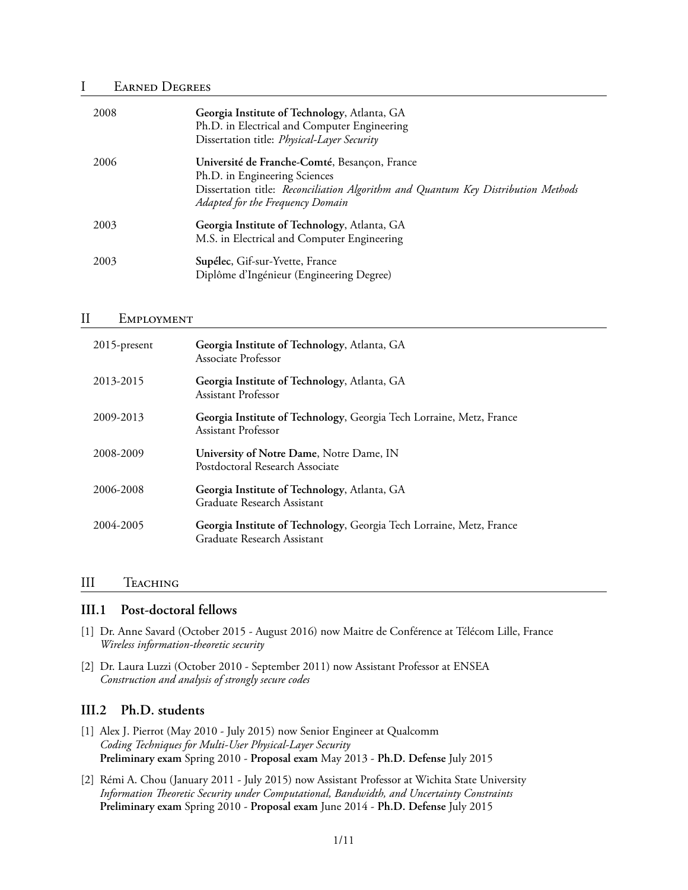## I Earned Degrees

| 2008 | Georgia Institute of Technology, Atlanta, GA<br>Ph.D. in Electrical and Computer Engineering<br>Dissertation title: Physical-Layer Security                                                             |
|------|---------------------------------------------------------------------------------------------------------------------------------------------------------------------------------------------------------|
| 2006 | Université de Franche-Comté, Besançon, France<br>Ph.D. in Engineering Sciences<br>Dissertation title: Reconciliation Algorithm and Quantum Key Distribution Methods<br>Adapted for the Frequency Domain |
| 2003 | Georgia Institute of Technology, Atlanta, GA<br>M.S. in Electrical and Computer Engineering                                                                                                             |
| 2003 | Supélec, Gif-sur-Yvette, France<br>Diplôme d'Ingénieur (Engineering Degree)                                                                                                                             |

### II Employment

| 2015-present | Georgia Institute of Technology, Atlanta, GA<br>Associate Professor                                 |
|--------------|-----------------------------------------------------------------------------------------------------|
| 2013-2015    | Georgia Institute of Technology, Atlanta, GA<br>Assistant Professor                                 |
| 2009-2013    | Georgia Institute of Technology, Georgia Tech Lorraine, Metz, France<br>Assistant Professor         |
| 2008-2009    | University of Notre Dame, Notre Dame, IN<br>Postdoctoral Research Associate                         |
| 2006-2008    | Georgia Institute of Technology, Atlanta, GA<br>Graduate Research Assistant                         |
| 2004-2005    | Georgia Institute of Technology, Georgia Tech Lorraine, Metz, France<br>Graduate Research Assistant |

### III Teaching

### **III.1 Post-doctoral fellows**

- [1] Dr. Anne Savard (October 2015 August 2016) now Maitre de Conférence at Télécom Lille, France *Wireless information-theoretic security*
- [2] Dr. Laura Luzzi (October 2010 September 2011) now Assistant Professor at ENSEA *Construction and analysis of strongly secure codes*

## **III.2 Ph.D. students**

- [1] Alex J. Pierrot (May 2010 July 2015) now Senior Engineer at Qualcomm *Coding Techniques for Multi-User Physical-Layer Security* **Preliminary exam** Spring 2010 - **Proposal exam** May 2013 - **Ph.D. Defense** July 2015
- [2] Rémi A. Chou (January 2011 July 2015) now Assistant Professor at Wichita State University *Information Theoretic Security under Computational, Bandwidth, and Uncertainty Constraints* **Preliminary exam** Spring 2010 - **Proposal exam** June 2014 - **Ph.D. Defense** July 2015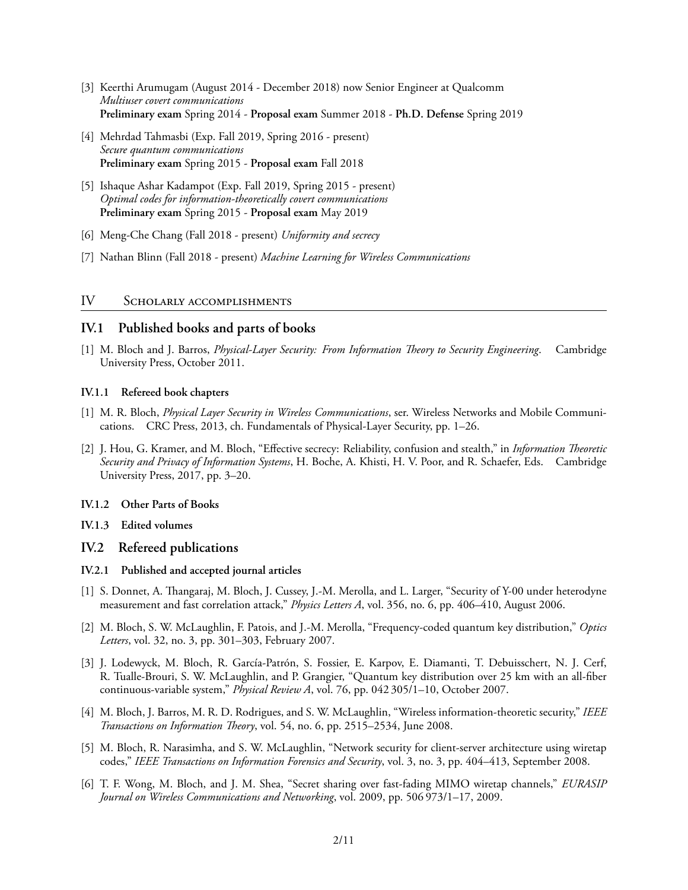- [3] Keerthi Arumugam (August 2014 December 2018) now Senior Engineer at Qualcomm *Multiuser covert communications* **Preliminary exam** Spring 2014 - **Proposal exam** Summer 2018 - **Ph.D. Defense** Spring 2019
- [4] Mehrdad Tahmasbi (Exp. Fall 2019, Spring 2016 present) *Secure quantum communications* **Preliminary exam** Spring 2015 - **Proposal exam** Fall 2018
- [5] Ishaque Ashar Kadampot (Exp. Fall 2019, Spring 2015 present) *Optimal codes for information-theoretically covert communications* **Preliminary exam** Spring 2015 - **Proposal exam** May 2019
- [6] Meng-Che Chang (Fall 2018 present) *Uniformity and secrecy*
- [7] Nathan Blinn (Fall 2018 present) *Machine Learning for Wireless Communications*

### IV Scholarly accomplishments

## **IV.1 Published books and parts of books**

[1] M. Bloch and J. Barros, *Physical-Layer Security: From Information Theory to Security Engineering*. Cambridge University Press, October 2011.

### **IV.1.1 Refereed book chapters**

- [1] M. R. Bloch, *Physical Layer Security in Wireless Communications*, ser. Wireless Networks and Mobile Communications. CRC Press, 2013, ch. Fundamentals of Physical-Layer Security, pp. 1–26.
- [2] J. Hou, G. Kramer, and M. Bloch, "Effective secrecy: Reliability, confusion and stealth," in *Information Theoretic Security and Privacy of Information Systems*, H. Boche, A. Khisti, H. V. Poor, and R. Schaefer, Eds. Cambridge University Press, 2017, pp. 3–20.

### **IV.1.2 Other Parts of Books**

**IV.1.3 Edited volumes**

### **IV.2 Refereed publications**

### **IV.2.1 Published and accepted journal articles**

- [1] S. Donnet, A. Thangaraj, M. Bloch, J. Cussey, J.-M. Merolla, and L. Larger, "Security of Y-00 under heterodyne measurement and fast correlation attack," *Physics Letters A*, vol. 356, no. 6, pp. 406–410, August 2006.
- [2] M. Bloch, S. W. McLaughlin, F. Patois, and J.-M. Merolla, "Frequency-coded quantum key distribution," *Optics Letters*, vol. 32, no. 3, pp. 301–303, February 2007.
- [3] J. Lodewyck, M. Bloch, R. García-Patrón, S. Fossier, E. Karpov, E. Diamanti, T. Debuisschert, N. J. Cerf, R. Tualle-Brouri, S. W. McLaughlin, and P. Grangier, "Quantum key distribution over 25 km with an all-fiber continuous-variable system," *Physical Review A*, vol. 76, pp. 042 305/1–10, October 2007.
- [4] M. Bloch, J. Barros, M. R. D. Rodrigues, and S. W. McLaughlin, "Wireless information-theoretic security," *IEEE Transactions on Information Theory*, vol. 54, no. 6, pp. 2515–2534, June 2008.
- [5] M. Bloch, R. Narasimha, and S. W. McLaughlin, "Network security for client-server architecture using wiretap codes," *IEEE Transactions on Information Forensics and Security*, vol. 3, no. 3, pp. 404–413, September 2008.
- [6] T. F. Wong, M. Bloch, and J. M. Shea, "Secret sharing over fast-fading MIMO wiretap channels," *EURASIP Journal on Wireless Communications and Networking*, vol. 2009, pp. 506 973/1–17, 2009.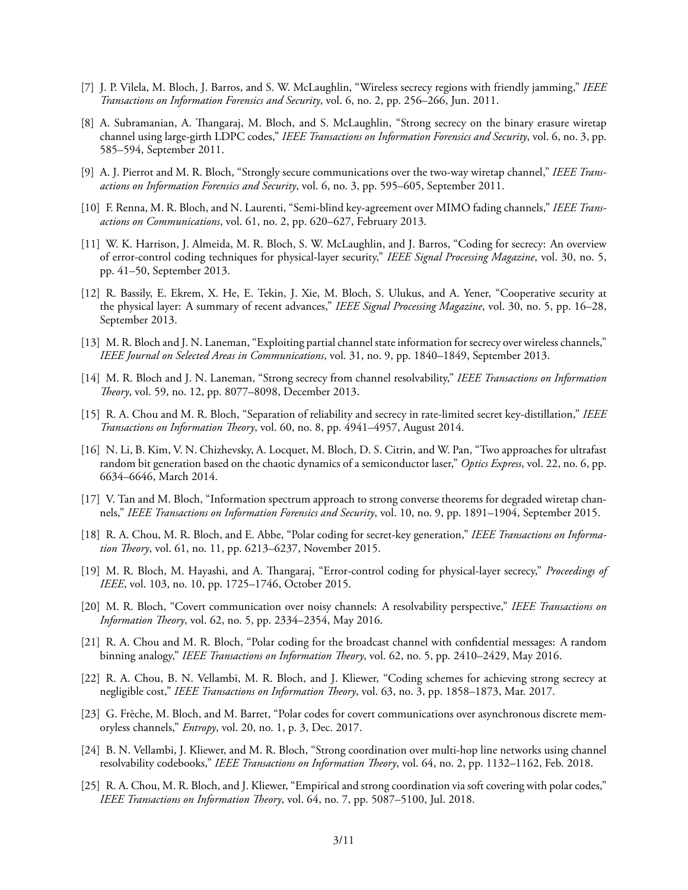- [7] J. P. Vilela, M. Bloch, J. Barros, and S. W. McLaughlin, "Wireless secrecy regions with friendly jamming," *IEEE Transactions on Information Forensics and Security*, vol. 6, no. 2, pp. 256–266, Jun. 2011.
- [8] A. Subramanian, A. Thangaraj, M. Bloch, and S. McLaughlin, "Strong secrecy on the binary erasure wiretap channel using large-girth LDPC codes," *IEEE Transactions on Information Forensics and Security*, vol. 6, no. 3, pp. 585–594, September 2011.
- [9] A. J. Pierrot and M. R. Bloch, "Strongly secure communications over the two-way wiretap channel," *IEEE Transactions on Information Forensics and Security*, vol. 6, no. 3, pp. 595–605, September 2011.
- [10] F. Renna, M. R. Bloch, and N. Laurenti, "Semi-blind key-agreement over MIMO fading channels," *IEEE Transactions on Communications*, vol. 61, no. 2, pp. 620–627, February 2013.
- [11] W. K. Harrison, J. Almeida, M. R. Bloch, S. W. McLaughlin, and J. Barros, "Coding for secrecy: An overview of error-control coding techniques for physical-layer security," *IEEE Signal Processing Magazine*, vol. 30, no. 5, pp. 41–50, September 2013.
- [12] R. Bassily, E. Ekrem, X. He, E. Tekin, J. Xie, M. Bloch, S. Ulukus, and A. Yener, "Cooperative security at the physical layer: A summary of recent advances," *IEEE Signal Processing Magazine*, vol. 30, no. 5, pp. 16–28, September 2013.
- [13] M. R. Bloch and J. N. Laneman, "Exploiting partial channel state information for secrecy over wireless channels," *IEEE Journal on Selected Areas in Communications*, vol. 31, no. 9, pp. 1840–1849, September 2013.
- [14] M. R. Bloch and J. N. Laneman, "Strong secrecy from channel resolvability," *IEEE Transactions on Information Theory*, vol. 59, no. 12, pp. 8077–8098, December 2013.
- [15] R. A. Chou and M. R. Bloch, "Separation of reliability and secrecy in rate-limited secret key-distillation," *IEEE Transactions on Information Theory*, vol. 60, no. 8, pp. 4941–4957, August 2014.
- [16] N. Li, B. Kim, V. N. Chizhevsky, A. Locquet, M. Bloch, D. S. Citrin, and W. Pan, "Two approaches for ultrafast random bit generation based on the chaotic dynamics of a semiconductor laser," *Optics Express*, vol. 22, no. 6, pp. 6634–6646, March 2014.
- [17] V. Tan and M. Bloch, "Information spectrum approach to strong converse theorems for degraded wiretap channels," *IEEE Transactions on Information Forensics and Security*, vol. 10, no. 9, pp. 1891–1904, September 2015.
- [18] R. A. Chou, M. R. Bloch, and E. Abbe, "Polar coding for secret-key generation," *IEEE Transactions on Information Theory*, vol. 61, no. 11, pp. 6213–6237, November 2015.
- [19] M. R. Bloch, M. Hayashi, and A. Thangaraj, "Error-control coding for physical-layer secrecy," *Proceedings of IEEE*, vol. 103, no. 10, pp. 1725–1746, October 2015.
- [20] M. R. Bloch, "Covert communication over noisy channels: A resolvability perspective," *IEEE Transactions on Information Theory*, vol. 62, no. 5, pp. 2334–2354, May 2016.
- [21] R. A. Chou and M. R. Bloch, "Polar coding for the broadcast channel with confidential messages: A random binning analogy," *IEEE Transactions on Information Theory*, vol. 62, no. 5, pp. 2410–2429, May 2016.
- [22] R. A. Chou, B. N. Vellambi, M. R. Bloch, and J. Kliewer, "Coding schemes for achieving strong secrecy at negligible cost," *IEEE Transactions on Information Theory*, vol. 63, no. 3, pp. 1858–1873, Mar. 2017.
- [23] G. Frèche, M. Bloch, and M. Barret, "Polar codes for covert communications over asynchronous discrete memoryless channels," *Entropy*, vol. 20, no. 1, p. 3, Dec. 2017.
- [24] B. N. Vellambi, J. Kliewer, and M. R. Bloch, "Strong coordination over multi-hop line networks using channel resolvability codebooks," *IEEE Transactions on Information Theory*, vol. 64, no. 2, pp. 1132–1162, Feb. 2018.
- [25] R. A. Chou, M. R. Bloch, and J. Kliewer, "Empirical and strong coordination via soft covering with polar codes," *IEEE Transactions on Information Theory*, vol. 64, no. 7, pp. 5087–5100, Jul. 2018.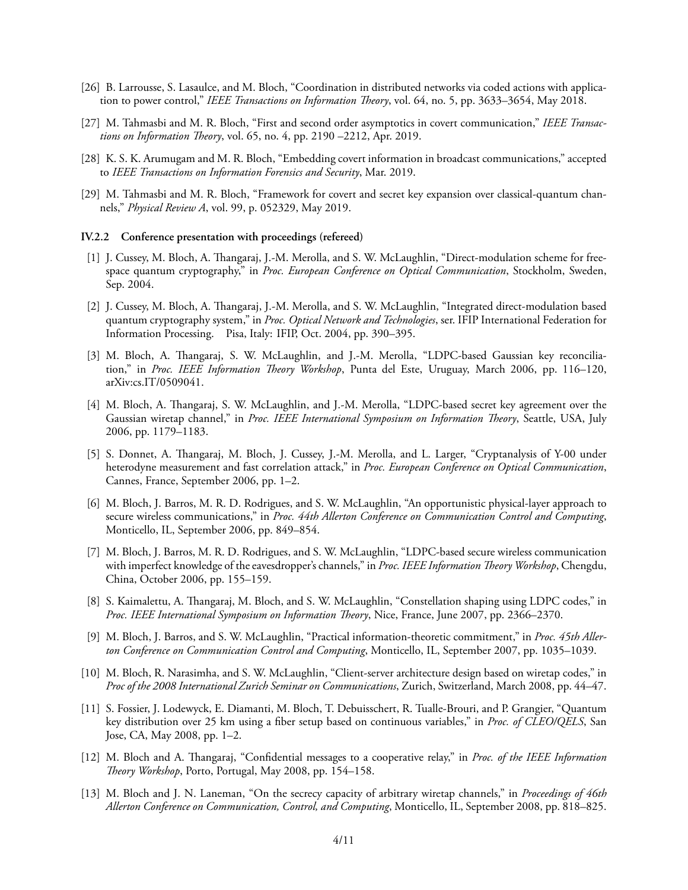- [26] B. Larrousse, S. Lasaulce, and M. Bloch, "Coordination in distributed networks via coded actions with application to power control," *IEEE Transactions on Information Theory*, vol. 64, no. 5, pp. 3633–3654, May 2018.
- [27] M. Tahmasbi and M. R. Bloch, "First and second order asymptotics in covert communication," *IEEE Transactions on Information Theory*, vol. 65, no. 4, pp. 2190 –2212, Apr. 2019.
- [28] K. S. K. Arumugam and M. R. Bloch, "Embedding covert information in broadcast communications," accepted to *IEEE Transactions on Information Forensics and Security*, Mar. 2019.
- [29] M. Tahmasbi and M. R. Bloch, "Framework for covert and secret key expansion over classical-quantum channels," *Physical Review A*, vol. 99, p. 052329, May 2019.

#### **IV.2.2 Conference presentation with proceedings (refereed)**

- [1] J. Cussey, M. Bloch, A. Thangaraj, J.-M. Merolla, and S. W. McLaughlin, "Direct-modulation scheme for freespace quantum cryptography," in *Proc. European Conference on Optical Communication*, Stockholm, Sweden, Sep. 2004.
- [2] J. Cussey, M. Bloch, A. Thangaraj, J.-M. Merolla, and S. W. McLaughlin, "Integrated direct-modulation based quantum cryptography system," in *Proc. Optical Network and Technologies*, ser. IFIP International Federation for Information Processing. Pisa, Italy: IFIP, Oct. 2004, pp. 390–395.
- [3] M. Bloch, A. Thangaraj, S. W. McLaughlin, and J.-M. Merolla, "LDPC-based Gaussian key reconciliation," in *Proc. IEEE Information Theory Workshop*, Punta del Este, Uruguay, March 2006, pp. 116–120, arXiv:cs.IT/0509041.
- [4] M. Bloch, A. Thangaraj, S. W. McLaughlin, and J.-M. Merolla, "LDPC-based secret key agreement over the Gaussian wiretap channel," in *Proc. IEEE International Symposium on Information Theory*, Seattle, USA, July 2006, pp. 1179–1183.
- [5] S. Donnet, A. Thangaraj, M. Bloch, J. Cussey, J.-M. Merolla, and L. Larger, "Cryptanalysis of Y-00 under heterodyne measurement and fast correlation attack," in *Proc. European Conference on Optical Communication*, Cannes, France, September 2006, pp. 1–2.
- [6] M. Bloch, J. Barros, M. R. D. Rodrigues, and S. W. McLaughlin, "An opportunistic physical-layer approach to secure wireless communications," in *Proc. 44th Allerton Conference on Communication Control and Computing*, Monticello, IL, September 2006, pp. 849–854.
- [7] M. Bloch, J. Barros, M. R. D. Rodrigues, and S. W. McLaughlin, "LDPC-based secure wireless communication with imperfect knowledge of the eavesdropper's channels," in *Proc. IEEE Information Theory Workshop*, Chengdu, China, October 2006, pp. 155–159.
- [8] S. Kaimalettu, A. Thangaraj, M. Bloch, and S. W. McLaughlin, "Constellation shaping using LDPC codes," in *Proc. IEEE International Symposium on Information Theory*, Nice, France, June 2007, pp. 2366–2370.
- [9] M. Bloch, J. Barros, and S. W. McLaughlin, "Practical information-theoretic commitment," in *Proc. 45th Allerton Conference on Communication Control and Computing*, Monticello, IL, September 2007, pp. 1035–1039.
- [10] M. Bloch, R. Narasimha, and S. W. McLaughlin, "Client-server architecture design based on wiretap codes," in *Proc of the 2008 International Zurich Seminar on Communications*, Zurich, Switzerland, March 2008, pp. 44–47.
- [11] S. Fossier, J. Lodewyck, E. Diamanti, M. Bloch, T. Debuisschert, R. Tualle-Brouri, and P. Grangier, "Quantum key distribution over 25 km using a fiber setup based on continuous variables," in *Proc. of CLEO/QELS*, San Jose, CA, May 2008, pp. 1–2.
- [12] M. Bloch and A. Thangaraj, "Confidential messages to a cooperative relay," in *Proc. of the IEEE Information Theory Workshop*, Porto, Portugal, May 2008, pp. 154–158.
- [13] M. Bloch and J. N. Laneman, "On the secrecy capacity of arbitrary wiretap channels," in *Proceedings of 46th Allerton Conference on Communication, Control, and Computing*, Monticello, IL, September 2008, pp. 818–825.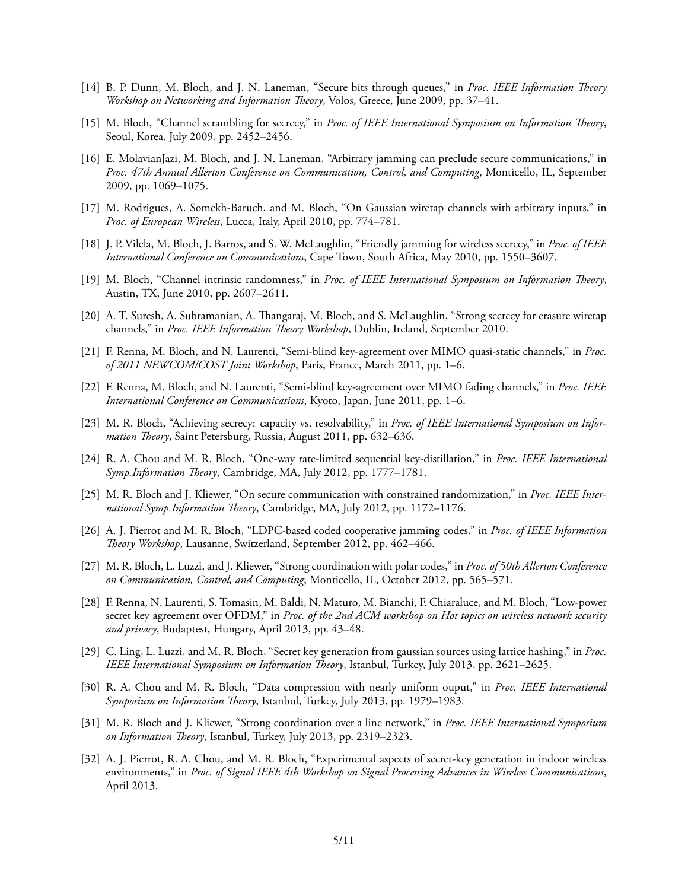- [14] B. P. Dunn, M. Bloch, and J. N. Laneman, "Secure bits through queues," in *Proc. IEEE Information Theory Workshop on Networking and Information Theory*, Volos, Greece, June 2009, pp. 37–41.
- [15] M. Bloch, "Channel scrambling for secrecy," in *Proc. of IEEE International Symposium on Information Theory*, Seoul, Korea, July 2009, pp. 2452–2456.
- [16] E. MolavianJazi, M. Bloch, and J. N. Laneman, "Arbitrary jamming can preclude secure communications," in *Proc. 47th Annual Allerton Conference on Communication, Control, and Computing*, Monticello, IL, September 2009, pp. 1069–1075.
- [17] M. Rodrigues, A. Somekh-Baruch, and M. Bloch, "On Gaussian wiretap channels with arbitrary inputs," in *Proc. of European Wireless*, Lucca, Italy, April 2010, pp. 774–781.
- [18] J. P. Vilela, M. Bloch, J. Barros, and S. W. McLaughlin, "Friendly jamming for wireless secrecy," in *Proc. of IEEE International Conference on Communications*, Cape Town, South Africa, May 2010, pp. 1550–3607.
- [19] M. Bloch, "Channel intrinsic randomness," in *Proc. of IEEE International Symposium on Information Theory*, Austin, TX, June 2010, pp. 2607–2611.
- [20] A. T. Suresh, A. Subramanian, A. Thangaraj, M. Bloch, and S. McLaughlin, "Strong secrecy for erasure wiretap channels," in *Proc. IEEE Information Theory Workshop*, Dublin, Ireland, September 2010.
- [21] F. Renna, M. Bloch, and N. Laurenti, "Semi-blind key-agreement over MIMO quasi-static channels," in *Proc. of 2011 NEWCOM/COST Joint Workshop*, Paris, France, March 2011, pp. 1–6.
- [22] F. Renna, M. Bloch, and N. Laurenti, "Semi-blind key-agreement over MIMO fading channels," in *Proc. IEEE International Conference on Communications*, Kyoto, Japan, June 2011, pp. 1–6.
- [23] M. R. Bloch, "Achieving secrecy: capacity vs. resolvability," in *Proc. of IEEE International Symposium on Information Theory*, Saint Petersburg, Russia, August 2011, pp. 632–636.
- [24] R. A. Chou and M. R. Bloch, "One-way rate-limited sequential key-distillation," in *Proc. IEEE International Symp.Information Theory*, Cambridge, MA, July 2012, pp. 1777–1781.
- [25] M. R. Bloch and J. Kliewer, "On secure communication with constrained randomization," in *Proc. IEEE International Symp.Information Theory*, Cambridge, MA, July 2012, pp. 1172–1176.
- [26] A. J. Pierrot and M. R. Bloch, "LDPC-based coded cooperative jamming codes," in *Proc. of IEEE Information Theory Workshop*, Lausanne, Switzerland, September 2012, pp. 462–466.
- [27] M. R. Bloch, L. Luzzi, and J. Kliewer, "Strong coordination with polar codes," in *Proc. of 50th Allerton Conference on Communication, Control, and Computing*, Monticello, IL, October 2012, pp. 565–571.
- [28] F. Renna, N. Laurenti, S. Tomasin, M. Baldi, N. Maturo, M. Bianchi, F. Chiaraluce, and M. Bloch, "Low-power secret key agreement over OFDM," in *Proc. of the 2nd ACM workshop on Hot topics on wireless network security and privacy*, Budaptest, Hungary, April 2013, pp. 43–48.
- [29] C. Ling, L. Luzzi, and M. R. Bloch, "Secret key generation from gaussian sources using lattice hashing," in *Proc. IEEE International Symposium on Information Theory*, Istanbul, Turkey, July 2013, pp. 2621–2625.
- [30] R. A. Chou and M. R. Bloch, "Data compression with nearly uniform ouput," in *Proc. IEEE International Symposium on Information Theory*, Istanbul, Turkey, July 2013, pp. 1979–1983.
- [31] M. R. Bloch and J. Kliewer, "Strong coordination over a line network," in *Proc. IEEE International Symposium on Information Theory*, Istanbul, Turkey, July 2013, pp. 2319–2323.
- [32] A. J. Pierrot, R. A. Chou, and M. R. Bloch, "Experimental aspects of secret-key generation in indoor wireless environments," in *Proc. of Signal IEEE 4th Workshop on Signal Processing Advances in Wireless Communications*, April 2013.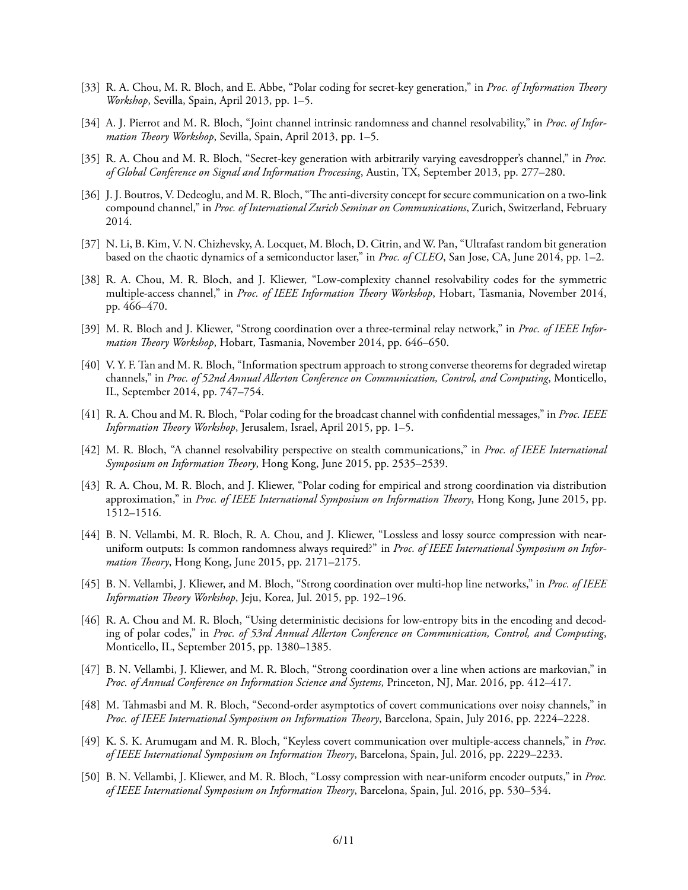- [33] R. A. Chou, M. R. Bloch, and E. Abbe, "Polar coding for secret-key generation," in *Proc. of Information Theory Workshop*, Sevilla, Spain, April 2013, pp. 1–5.
- [34] A. J. Pierrot and M. R. Bloch, "Joint channel intrinsic randomness and channel resolvability," in *Proc. of Information Theory Workshop*, Sevilla, Spain, April 2013, pp. 1–5.
- [35] R. A. Chou and M. R. Bloch, "Secret-key generation with arbitrarily varying eavesdropper's channel," in *Proc. of Global Conference on Signal and Information Processing*, Austin, TX, September 2013, pp. 277–280.
- [36] J. J. Boutros, V. Dedeoglu, and M. R. Bloch, "The anti-diversity concept for secure communication on a two-link compound channel," in *Proc. of International Zurich Seminar on Communications*, Zurich, Switzerland, February 2014.
- [37] N. Li, B. Kim, V. N. Chizhevsky, A. Locquet, M. Bloch, D. Citrin, and W. Pan, "Ultrafast random bit generation based on the chaotic dynamics of a semiconductor laser," in *Proc. of CLEO*, San Jose, CA, June 2014, pp. 1–2.
- [38] R. A. Chou, M. R. Bloch, and J. Kliewer, "Low-complexity channel resolvability codes for the symmetric multiple-access channel," in *Proc. of IEEE Information Theory Workshop*, Hobart, Tasmania, November 2014, pp. 466–470.
- [39] M. R. Bloch and J. Kliewer, "Strong coordination over a three-terminal relay network," in *Proc. of IEEE Information Theory Workshop*, Hobart, Tasmania, November 2014, pp. 646–650.
- [40] V. Y. F. Tan and M. R. Bloch, "Information spectrum approach to strong converse theorems for degraded wiretap channels," in *Proc. of 52nd Annual Allerton Conference on Communication, Control, and Computing*, Monticello, IL, September 2014, pp. 747–754.
- [41] R. A. Chou and M. R. Bloch, "Polar coding for the broadcast channel with confidential messages," in *Proc. IEEE Information Theory Workshop*, Jerusalem, Israel, April 2015, pp. 1–5.
- [42] M. R. Bloch, "A channel resolvability perspective on stealth communications," in *Proc. of IEEE International Symposium on Information Theory*, Hong Kong, June 2015, pp. 2535–2539.
- [43] R. A. Chou, M. R. Bloch, and J. Kliewer, "Polar coding for empirical and strong coordination via distribution approximation," in *Proc. of IEEE International Symposium on Information Theory*, Hong Kong, June 2015, pp. 1512–1516.
- [44] B. N. Vellambi, M. R. Bloch, R. A. Chou, and J. Kliewer, "Lossless and lossy source compression with nearuniform outputs: Is common randomness always required?" in *Proc. of IEEE International Symposium on Information Theory*, Hong Kong, June 2015, pp. 2171–2175.
- [45] B. N. Vellambi, J. Kliewer, and M. Bloch, "Strong coordination over multi-hop line networks," in *Proc. of IEEE Information Theory Workshop*, Jeju, Korea, Jul. 2015, pp. 192–196.
- [46] R. A. Chou and M. R. Bloch, "Using deterministic decisions for low-entropy bits in the encoding and decoding of polar codes," in *Proc. of 53rd Annual Allerton Conference on Communication, Control, and Computing*, Monticello, IL, September 2015, pp. 1380–1385.
- [47] B. N. Vellambi, J. Kliewer, and M. R. Bloch, "Strong coordination over a line when actions are markovian," in *Proc. of Annual Conference on Information Science and Systems*, Princeton, NJ, Mar. 2016, pp. 412–417.
- [48] M. Tahmasbi and M. R. Bloch, "Second-order asymptotics of covert communications over noisy channels," in *Proc. of IEEE International Symposium on Information Theory*, Barcelona, Spain, July 2016, pp. 2224–2228.
- [49] K. S. K. Arumugam and M. R. Bloch, "Keyless covert communication over multiple-access channels," in *Proc. of IEEE International Symposium on Information Theory*, Barcelona, Spain, Jul. 2016, pp. 2229–2233.
- [50] B. N. Vellambi, J. Kliewer, and M. R. Bloch, "Lossy compression with near-uniform encoder outputs," in *Proc. of IEEE International Symposium on Information Theory*, Barcelona, Spain, Jul. 2016, pp. 530–534.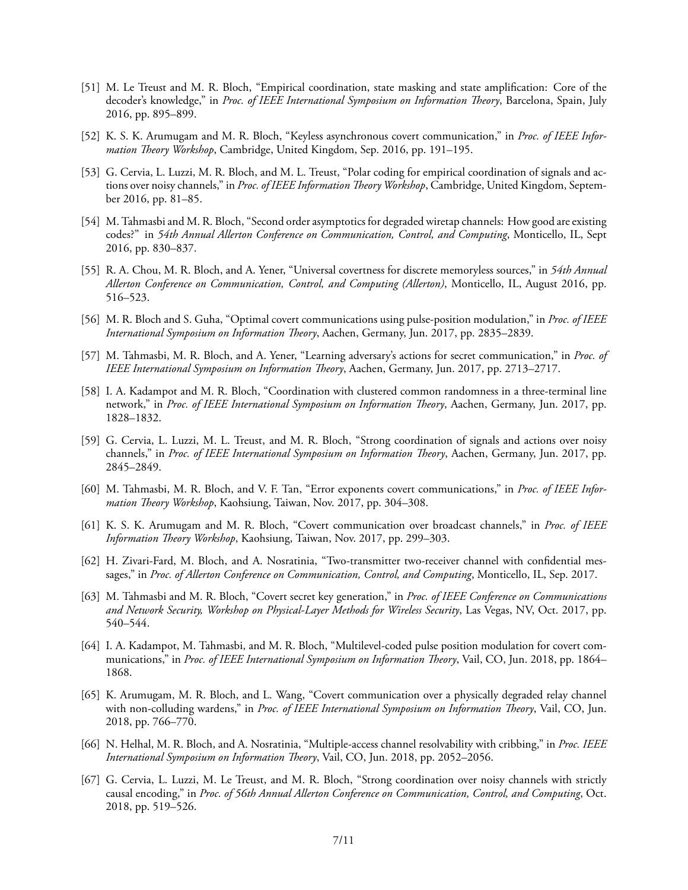- [51] M. Le Treust and M. R. Bloch, "Empirical coordination, state masking and state amplification: Core of the decoder's knowledge," in *Proc. of IEEE International Symposium on Information Theory*, Barcelona, Spain, July 2016, pp. 895–899.
- [52] K. S. K. Arumugam and M. R. Bloch, "Keyless asynchronous covert communication," in *Proc. of IEEE Information Theory Workshop*, Cambridge, United Kingdom, Sep. 2016, pp. 191–195.
- [53] G. Cervia, L. Luzzi, M. R. Bloch, and M. L. Treust, "Polar coding for empirical coordination of signals and actions over noisy channels," in *Proc. of IEEE Information Theory Workshop*, Cambridge, United Kingdom, September 2016, pp. 81–85.
- [54] M. Tahmasbi and M. R. Bloch, "Second order asymptotics for degraded wiretap channels: How good are existing codes?" in *54th Annual Allerton Conference on Communication, Control, and Computing*, Monticello, IL, Sept 2016, pp. 830–837.
- [55] R. A. Chou, M. R. Bloch, and A. Yener, "Universal covertness for discrete memoryless sources," in *54th Annual Allerton Conference on Communication, Control, and Computing (Allerton)*, Monticello, IL, August 2016, pp. 516–523.
- [56] M. R. Bloch and S. Guha, "Optimal covert communications using pulse-position modulation," in *Proc. of IEEE International Symposium on Information Theory*, Aachen, Germany, Jun. 2017, pp. 2835–2839.
- [57] M. Tahmasbi, M. R. Bloch, and A. Yener, "Learning adversary's actions for secret communication," in *Proc. of IEEE International Symposium on Information Theory*, Aachen, Germany, Jun. 2017, pp. 2713–2717.
- [58] I. A. Kadampot and M. R. Bloch, "Coordination with clustered common randomness in a three-terminal line network," in *Proc. of IEEE International Symposium on Information Theory*, Aachen, Germany, Jun. 2017, pp. 1828–1832.
- [59] G. Cervia, L. Luzzi, M. L. Treust, and M. R. Bloch, "Strong coordination of signals and actions over noisy channels," in *Proc. of IEEE International Symposium on Information Theory*, Aachen, Germany, Jun. 2017, pp. 2845–2849.
- [60] M. Tahmasbi, M. R. Bloch, and V. F. Tan, "Error exponents covert communications," in *Proc. of IEEE Information Theory Workshop*, Kaohsiung, Taiwan, Nov. 2017, pp. 304–308.
- [61] K. S. K. Arumugam and M. R. Bloch, "Covert communication over broadcast channels," in *Proc. of IEEE Information Theory Workshop*, Kaohsiung, Taiwan, Nov. 2017, pp. 299–303.
- [62] H. Zivari-Fard, M. Bloch, and A. Nosratinia, "Two-transmitter two-receiver channel with confidential messages," in *Proc. of Allerton Conference on Communication, Control, and Computing*, Monticello, IL, Sep. 2017.
- [63] M. Tahmasbi and M. R. Bloch, "Covert secret key generation," in *Proc. of IEEE Conference on Communications and Network Security, Workshop on Physical-Layer Methods for Wireless Security*, Las Vegas, NV, Oct. 2017, pp. 540–544.
- [64] I. A. Kadampot, M. Tahmasbi, and M. R. Bloch, "Multilevel-coded pulse position modulation for covert communications," in *Proc. of IEEE International Symposium on Information Theory*, Vail, CO, Jun. 2018, pp. 1864– 1868.
- [65] K. Arumugam, M. R. Bloch, and L. Wang, "Covert communication over a physically degraded relay channel with non-colluding wardens," in *Proc. of IEEE International Symposium on Information Theory*, Vail, CO, Jun. 2018, pp. 766–770.
- [66] N. Helhal, M. R. Bloch, and A. Nosratinia, "Multiple-access channel resolvability with cribbing," in *Proc. IEEE International Symposium on Information Theory*, Vail, CO, Jun. 2018, pp. 2052–2056.
- [67] G. Cervia, L. Luzzi, M. Le Treust, and M. R. Bloch, "Strong coordination over noisy channels with strictly causal encoding," in *Proc. of 56th Annual Allerton Conference on Communication, Control, and Computing*, Oct. 2018, pp. 519–526.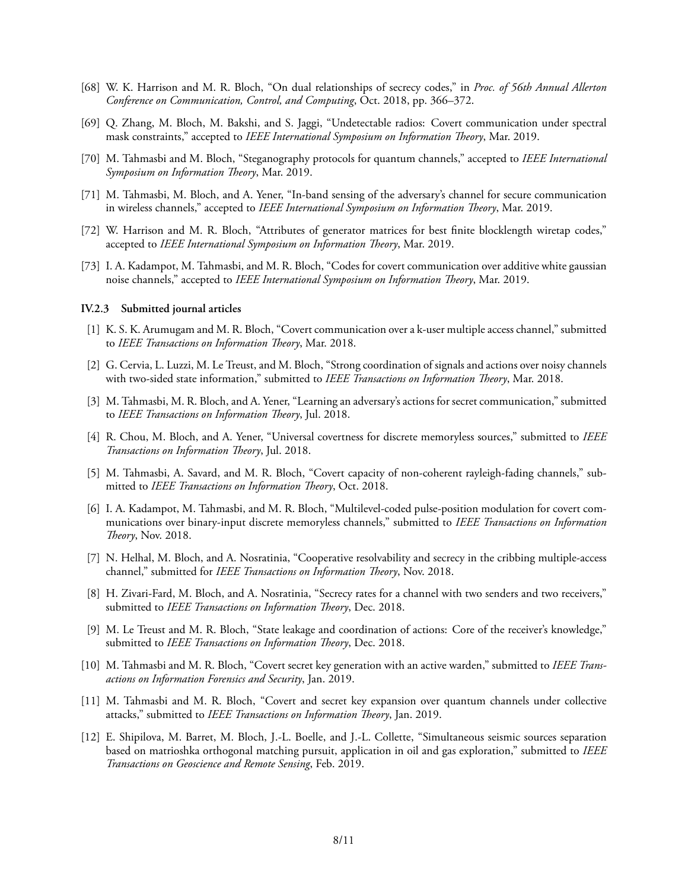- [68] W. K. Harrison and M. R. Bloch, "On dual relationships of secrecy codes," in *Proc. of 56th Annual Allerton Conference on Communication, Control, and Computing*, Oct. 2018, pp. 366–372.
- [69] Q. Zhang, M. Bloch, M. Bakshi, and S. Jaggi, "Undetectable radios: Covert communication under spectral mask constraints," accepted to *IEEE International Symposium on Information Theory*, Mar. 2019.
- [70] M. Tahmasbi and M. Bloch, "Steganography protocols for quantum channels," accepted to *IEEE International Symposium on Information Theory*, Mar. 2019.
- [71] M. Tahmasbi, M. Bloch, and A. Yener, "In-band sensing of the adversary's channel for secure communication in wireless channels," accepted to *IEEE International Symposium on Information Theory*, Mar. 2019.
- [72] W. Harrison and M. R. Bloch, "Attributes of generator matrices for best finite blocklength wiretap codes," accepted to *IEEE International Symposium on Information Theory*, Mar. 2019.
- [73] I. A. Kadampot, M. Tahmasbi, and M. R. Bloch, "Codes for covert communication over additive white gaussian noise channels," accepted to *IEEE International Symposium on Information Theory*, Mar. 2019.

#### **IV.2.3 Submitted journal articles**

- [1] K. S. K. Arumugam and M. R. Bloch, "Covert communication over a k-user multiple access channel," submitted to *IEEE Transactions on Information Theory*, Mar. 2018.
- [2] G. Cervia, L. Luzzi, M. Le Treust, and M. Bloch, "Strong coordination of signals and actions over noisy channels with two-sided state information," submitted to *IEEE Transactions on Information Theory*, Mar. 2018.
- [3] M. Tahmasbi, M. R. Bloch, and A. Yener, "Learning an adversary's actions for secret communication," submitted to *IEEE Transactions on Information Theory*, Jul. 2018.
- [4] R. Chou, M. Bloch, and A. Yener, "Universal covertness for discrete memoryless sources," submitted to *IEEE Transactions on Information Theory*, Jul. 2018.
- [5] M. Tahmasbi, A. Savard, and M. R. Bloch, "Covert capacity of non-coherent rayleigh-fading channels," submitted to *IEEE Transactions on Information Theory*, Oct. 2018.
- [6] I. A. Kadampot, M. Tahmasbi, and M. R. Bloch, "Multilevel-coded pulse-position modulation for covert communications over binary-input discrete memoryless channels," submitted to *IEEE Transactions on Information Theory*, Nov. 2018.
- [7] N. Helhal, M. Bloch, and A. Nosratinia, "Cooperative resolvability and secrecy in the cribbing multiple-access channel," submitted for *IEEE Transactions on Information Theory*, Nov. 2018.
- [8] H. Zivari-Fard, M. Bloch, and A. Nosratinia, "Secrecy rates for a channel with two senders and two receivers," submitted to *IEEE Transactions on Information Theory*, Dec. 2018.
- [9] M. Le Treust and M. R. Bloch, "State leakage and coordination of actions: Core of the receiver's knowledge," submitted to *IEEE Transactions on Information Theory*, Dec. 2018.
- [10] M. Tahmasbi and M. R. Bloch, "Covert secret key generation with an active warden," submitted to *IEEE Transactions on Information Forensics and Security*, Jan. 2019.
- [11] M. Tahmasbi and M. R. Bloch, "Covert and secret key expansion over quantum channels under collective attacks," submitted to *IEEE Transactions on Information Theory*, Jan. 2019.
- [12] E. Shipilova, M. Barret, M. Bloch, J.-L. Boelle, and J.-L. Collette, "Simultaneous seismic sources separation based on matrioshka orthogonal matching pursuit, application in oil and gas exploration," submitted to *IEEE Transactions on Geoscience and Remote Sensing*, Feb. 2019.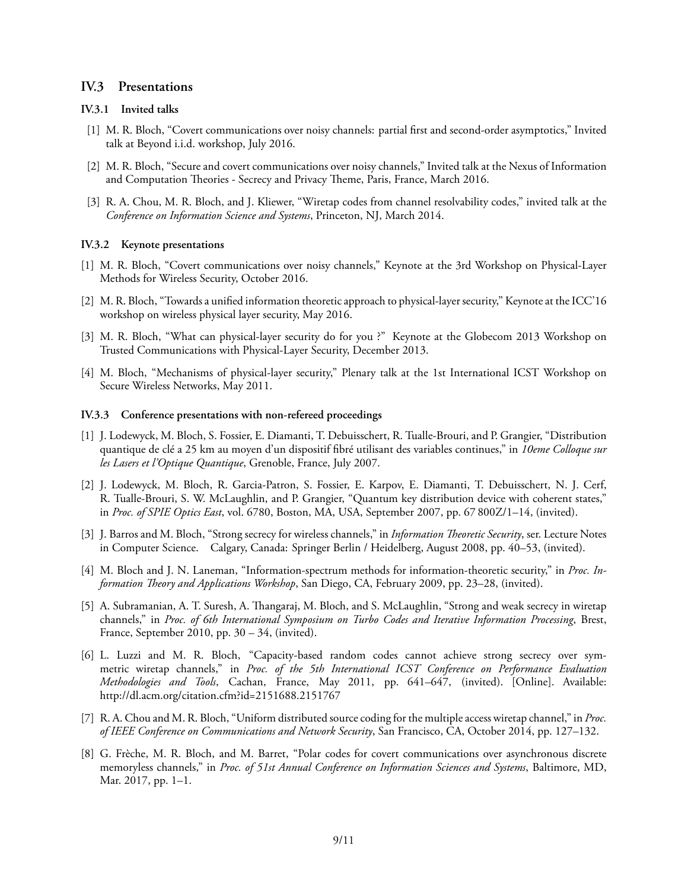## **IV.3 Presentations**

### **IV.3.1 Invited talks**

- [1] M. R. Bloch, "Covert communications over noisy channels: partial first and second-order asymptotics," Invited talk at Beyond i.i.d. workshop, July 2016.
- [2] M. R. Bloch, "Secure and covert communications over noisy channels," Invited talk at the Nexus of Information and Computation Theories - Secrecy and Privacy Theme, Paris, France, March 2016.
- [3] R. A. Chou, M. R. Bloch, and J. Kliewer, "Wiretap codes from channel resolvability codes," invited talk at the *Conference on Information Science and Systems*, Princeton, NJ, March 2014.

#### **IV.3.2 Keynote presentations**

- [1] M. R. Bloch, "Covert communications over noisy channels," Keynote at the 3rd Workshop on Physical-Layer Methods for Wireless Security, October 2016.
- [2] M. R. Bloch, "Towards a unified information theoretic approach to physical-layer security," Keynote at the ICC'16 workshop on wireless physical layer security, May 2016.
- [3] M. R. Bloch, "What can physical-layer security do for you ?" Keynote at the Globecom 2013 Workshop on Trusted Communications with Physical-Layer Security, December 2013.
- [4] M. Bloch, "Mechanisms of physical-layer security," Plenary talk at the 1st International ICST Workshop on Secure Wireless Networks, May 2011.

### **IV.3.3 Conference presentations with non-refereed proceedings**

- [1] J. Lodewyck, M. Bloch, S. Fossier, E. Diamanti, T. Debuisschert, R. Tualle-Brouri, and P. Grangier, "Distribution quantique de clé a 25 km au moyen d'un dispositif fibré utilisant des variables continues," in *10eme Colloque sur les Lasers et l'Optique Quantique*, Grenoble, France, July 2007.
- [2] J. Lodewyck, M. Bloch, R. Garcia-Patron, S. Fossier, E. Karpov, E. Diamanti, T. Debuisschert, N. J. Cerf, R. Tualle-Brouri, S. W. McLaughlin, and P. Grangier, "Quantum key distribution device with coherent states," in *Proc. of SPIE Optics East*, vol. 6780, Boston, MA, USA, September 2007, pp. 67 800Z/1–14, (invited).
- [3] J. Barros and M. Bloch, "Strong secrecy for wireless channels," in *Information Theoretic Security*, ser. Lecture Notes in Computer Science. Calgary, Canada: Springer Berlin / Heidelberg, August 2008, pp. 40–53, (invited).
- [4] M. Bloch and J. N. Laneman, "Information-spectrum methods for information-theoretic security," in *Proc. Information Theory and Applications Workshop*, San Diego, CA, February 2009, pp. 23–28, (invited).
- [5] A. Subramanian, A. T. Suresh, A. Thangaraj, M. Bloch, and S. McLaughlin, "Strong and weak secrecy in wiretap channels," in *Proc. of 6th International Symposium on Turbo Codes and Iterative Information Processing*, Brest, France, September 2010, pp. 30 – 34, (invited).
- [6] L. Luzzi and M. R. Bloch, "Capacity-based random codes cannot achieve strong secrecy over symmetric wiretap channels," in *Proc. of the 5th International ICST Conference on Performance Evaluation Methodologies and Tools*, Cachan, France, May 2011, pp. 641–647, (invited). [Online]. Available: http://dl.acm.org/citation.cfm?id=2151688.2151767
- [7] R. A. Chou and M. R. Bloch, "Uniform distributed source coding for the multiple access wiretap channel," in *Proc. of IEEE Conference on Communications and Network Security*, San Francisco, CA, October 2014, pp. 127–132.
- [8] G. Frèche, M. R. Bloch, and M. Barret, "Polar codes for covert communications over asynchronous discrete memoryless channels," in *Proc. of 51st Annual Conference on Information Sciences and Systems*, Baltimore, MD, Mar. 2017, pp. 1–1.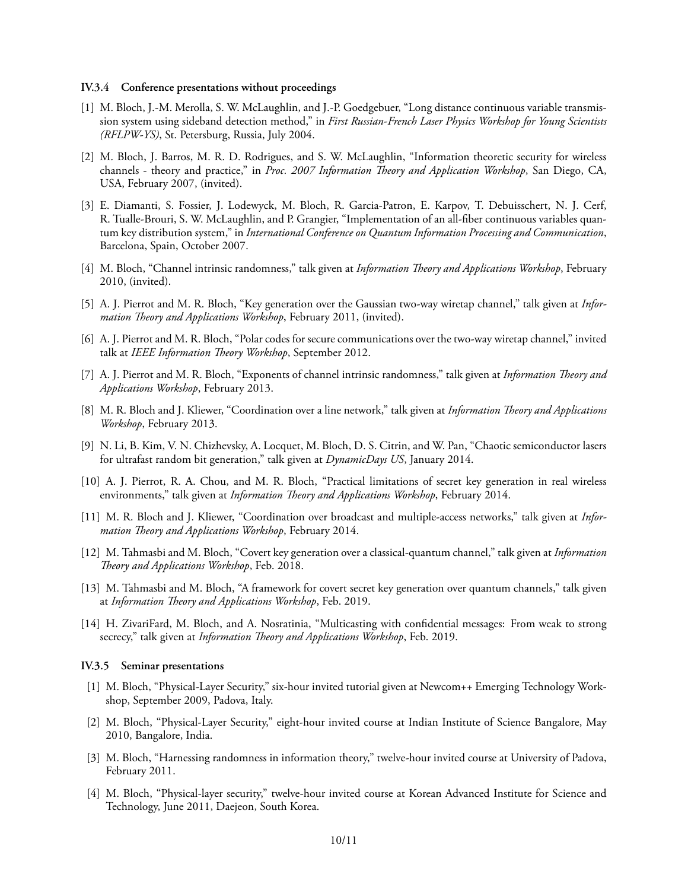#### **IV.3.4 Conference presentations without proceedings**

- [1] M. Bloch, J.-M. Merolla, S. W. McLaughlin, and J.-P. Goedgebuer, "Long distance continuous variable transmission system using sideband detection method," in *First Russian-French Laser Physics Workshop for Young Scientists (RFLPW-YS)*, St. Petersburg, Russia, July 2004.
- [2] M. Bloch, J. Barros, M. R. D. Rodrigues, and S. W. McLaughlin, "Information theoretic security for wireless channels - theory and practice," in *Proc. 2007 Information Theory and Application Workshop*, San Diego, CA, USA, February 2007, (invited).
- [3] E. Diamanti, S. Fossier, J. Lodewyck, M. Bloch, R. Garcia-Patron, E. Karpov, T. Debuisschert, N. J. Cerf, R. Tualle-Brouri, S. W. McLaughlin, and P. Grangier, "Implementation of an all-fiber continuous variables quantum key distribution system," in *International Conference on Quantum Information Processing and Communication*, Barcelona, Spain, October 2007.
- [4] M. Bloch, "Channel intrinsic randomness," talk given at *Information Theory and Applications Workshop*, February 2010, (invited).
- [5] A. J. Pierrot and M. R. Bloch, "Key generation over the Gaussian two-way wiretap channel," talk given at *Information Theory and Applications Workshop*, February 2011, (invited).
- [6] A. J. Pierrot and M. R. Bloch, "Polar codes for secure communications over the two-way wiretap channel," invited talk at *IEEE Information Theory Workshop*, September 2012.
- [7] A. J. Pierrot and M. R. Bloch, "Exponents of channel intrinsic randomness," talk given at *Information Theory and Applications Workshop*, February 2013.
- [8] M. R. Bloch and J. Kliewer, "Coordination over a line network," talk given at *Information Theory and Applications Workshop*, February 2013.
- [9] N. Li, B. Kim, V. N. Chizhevsky, A. Locquet, M. Bloch, D. S. Citrin, and W. Pan, "Chaotic semiconductor lasers for ultrafast random bit generation," talk given at *DynamicDays US*, January 2014.
- [10] A. J. Pierrot, R. A. Chou, and M. R. Bloch, "Practical limitations of secret key generation in real wireless environments," talk given at *Information Theory and Applications Workshop*, February 2014.
- [11] M. R. Bloch and J. Kliewer, "Coordination over broadcast and multiple-access networks," talk given at *Information Theory and Applications Workshop*, February 2014.
- [12] M. Tahmasbi and M. Bloch, "Covert key generation over a classical-quantum channel," talk given at *Information Theory and Applications Workshop*, Feb. 2018.
- [13] M. Tahmasbi and M. Bloch, "A framework for covert secret key generation over quantum channels," talk given at *Information Theory and Applications Workshop*, Feb. 2019.
- [14] H. ZivariFard, M. Bloch, and A. Nosratinia, "Multicasting with confidential messages: From weak to strong secrecy," talk given at *Information Theory and Applications Workshop*, Feb. 2019.

#### **IV.3.5 Seminar presentations**

- [1] M. Bloch, "Physical-Layer Security," six-hour invited tutorial given at Newcom++ Emerging Technology Workshop, September 2009, Padova, Italy.
- [2] M. Bloch, "Physical-Layer Security," eight-hour invited course at Indian Institute of Science Bangalore, May 2010, Bangalore, India.
- [3] M. Bloch, "Harnessing randomness in information theory," twelve-hour invited course at University of Padova, February 2011.
- [4] M. Bloch, "Physical-layer security," twelve-hour invited course at Korean Advanced Institute for Science and Technology, June 2011, Daejeon, South Korea.